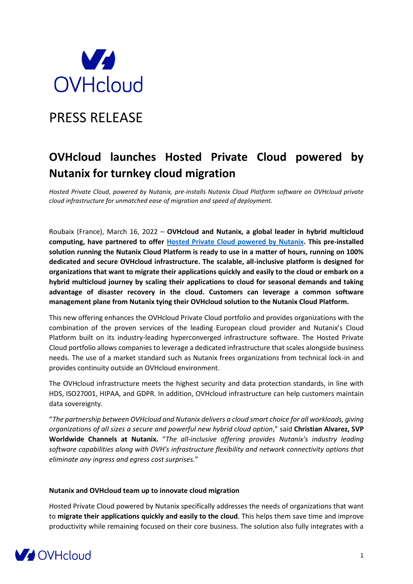

# PRESS RELEASE

## **OVHcloud launches Hosted Private Cloud powered by Nutanix for turnkey cloud migration**

*Hosted Private Cloud, powered by Nutanix, pre-installs Nutanix Cloud Platform software on OVHcloud private cloud infrastructure for unmatched ease of migration and speed of deployment.*

Roubaix (France), March 16, 2022 – **OVHcloud and Nutanix, a global leader in hybrid multicloud computing, have partnered to offer [Hosted Private Cloud powered by Nutanix.](https://www.ovhcloud.com/en/hosted-private-cloud/nutanix/) This pre-installed solution running the Nutanix Cloud Platform is ready to use in a matter of hours, running on 100% dedicated and secure OVHcloud infrastructure. The scalable, all-inclusive platform is designed for organizations that want to migrate their applications quickly and easily to the cloud or embark on a hybrid multicloud journey by scaling their applications to cloud for seasonal demands and taking advantage of disaster recovery in the cloud. Customers can leverage a common software management plane from Nutanix tying their OVHcloud solution to the Nutanix Cloud Platform.**

This new offering enhances the OVHcloud Private Cloud portfolio and provides organizations with the combination of the proven services of the leading European cloud provider and Nutanix's Cloud Platform built on its industry-leading hyperconverged infrastructure software. The Hosted Private Cloud portfolio allows companies to leverage a dedicated infrastructure that scales alongside business needs. The use of a market standard such as Nutanix frees organizations from technical lock-in and provides continuity outside an OVHcloud environment.

The OVHcloud infrastructure meets the highest security and data protection standards, in line with HDS, ISO27001, HIPAA, and GDPR. In addition, OVHcloud infrastructure can help customers maintain data sovereignty.

"*The partnership between OVHcloud and Nutanix delivers a cloud smart choice for all workloads, giving organizations of all sizes a secure and powerful new hybrid cloud option*," said **Christian Alvarez, SVP Worldwide Channels at Nutanix.** "*The all-inclusive offering provides Nutanix's industry leading software capabilities along with OVH's infrastructure flexibility and network connectivity options that eliminate any ingress and egress cost surprises.*"

### **Nutanix and OVHcloud team up to innovate cloud migration**

Hosted Private Cloud powered by Nutanix specifically addresses the needs of organizations that want to **migrate their applications quickly and easily to the cloud**. This helps them save time and improve productivity while remaining focused on their core business. The solution also fully integrates with a

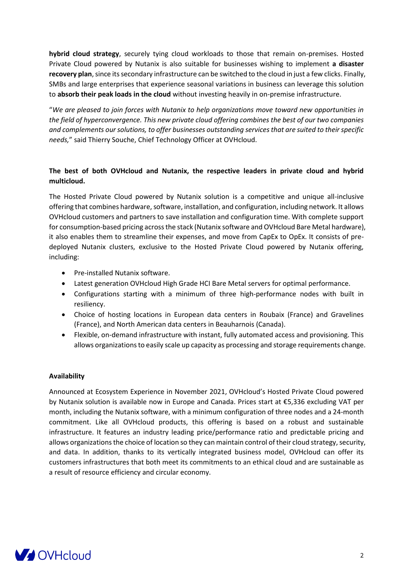**hybrid cloud strategy**, securely tying cloud workloads to those that remain on-premises. Hosted Private Cloud powered by Nutanix is also suitable for businesses wishing to implement **a disaster recovery plan**, since its secondary infrastructure can be switched to the cloud in just a few clicks. Finally, SMBs and large enterprises that experience seasonal variations in business can leverage this solution to **absorb their peak loads in the cloud** without investing heavily in on-premise infrastructure.

"*We are pleased to join forces with Nutanix to help organizations move toward new opportunities in the field of hyperconvergence. This new private cloud offering combines the best of our two companies and complements our solutions, to offer businesses outstanding services that are suited to their specific needs,*" said Thierry Souche, Chief Technology Officer at OVHcloud.

### **The best of both OVHcloud and Nutanix, the respective leaders in private cloud and hybrid multicloud.**

The Hosted Private Cloud powered by Nutanix solution is a competitive and unique all-inclusive offering that combines hardware, software, installation, and configuration, including network. It allows OVHcloud customers and partners to save installation and configuration time. With complete support for consumption-based pricing across the stack (Nutanix software and OVHcloud Bare Metal hardware), it also enables them to streamline their expenses, and move from CapEx to OpEx. It consists of predeployed Nutanix clusters, exclusive to the Hosted Private Cloud powered by Nutanix offering, including:

- Pre-installed Nutanix software.
- Latest generation OVHcloud High Grade HCI Bare Metal servers for optimal performance.
- Configurations starting with a minimum of three high-performance nodes with built in resiliency.
- Choice of hosting locations in European data centers in Roubaix (France) and Gravelines (France), and North American data centers in Beauharnois (Canada).
- Flexible, on-demand infrastructure with instant, fully automated access and provisioning. This allows organizations to easily scale up capacity as processing and storage requirements change.

### **Availability**

Announced at Ecosystem Experience in November 2021, OVHcloud's Hosted Private Cloud powered by Nutanix solution is available now in Europe and Canada. Prices start at €5,336 excluding VAT per month, including the Nutanix software, with a minimum configuration of three nodes and a 24-month commitment. Like all OVHcloud products, this offering is based on a robust and sustainable infrastructure. It features an industry leading price/performance ratio and predictable pricing and allows organizations the choice of location so they can maintain control of their cloud strategy, security, and data. In addition, thanks to its vertically integrated business model, OVHcloud can offer its customers infrastructures that both meet its commitments to an ethical cloud and are sustainable as a result of resource efficiency and circular economy.